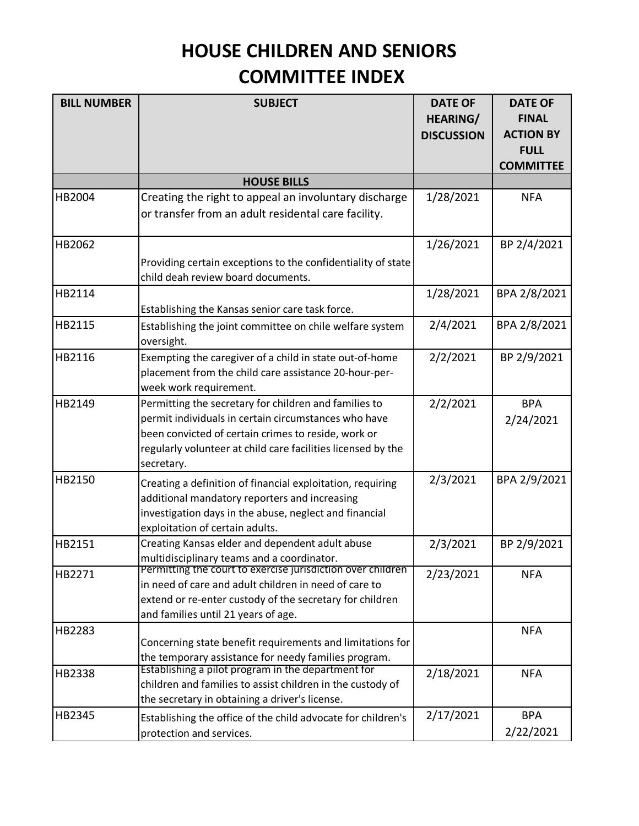## **HOUSE CHILDREN AND SENIORS COMMITTEE INDEX**

| <b>BILL NUMBER</b> | <b>SUBJECT</b>                                                                                                                                                                                                                                     | <b>DATE OF</b><br><b>HEARING/</b><br><b>DISCUSSION</b> | <b>DATE OF</b><br><b>FINAL</b><br><b>ACTION BY</b><br><b>FULL</b><br><b>COMMITTEE</b> |
|--------------------|----------------------------------------------------------------------------------------------------------------------------------------------------------------------------------------------------------------------------------------------------|--------------------------------------------------------|---------------------------------------------------------------------------------------|
|                    | <b>HOUSE BILLS</b>                                                                                                                                                                                                                                 |                                                        |                                                                                       |
| HB2004             | Creating the right to appeal an involuntary discharge<br>or transfer from an adult residental care facility.                                                                                                                                       | 1/28/2021                                              | <b>NFA</b>                                                                            |
| HB2062             | Providing certain exceptions to the confidentiality of state<br>child deah review board documents.                                                                                                                                                 | 1/26/2021                                              | BP 2/4/2021                                                                           |
| HB2114             | Establishing the Kansas senior care task force.                                                                                                                                                                                                    | 1/28/2021                                              | BPA 2/8/2021                                                                          |
| HB2115             | Establishing the joint committee on chile welfare system<br>oversight.                                                                                                                                                                             | 2/4/2021                                               | BPA 2/8/2021                                                                          |
| HB2116             | Exempting the caregiver of a child in state out-of-home<br>placement from the child care assistance 20-hour-per-<br>week work requirement.                                                                                                         | 2/2/2021                                               | BP 2/9/2021                                                                           |
| HB2149             | Permitting the secretary for children and families to<br>permit individuals in certain circumstances who have<br>been convicted of certain crimes to reside, work or<br>regularly volunteer at child care facilities licensed by the<br>secretary. | 2/2/2021                                               | <b>BPA</b><br>2/24/2021                                                               |
| HB2150             | Creating a definition of financial exploitation, requiring<br>additional mandatory reporters and increasing<br>investigation days in the abuse, neglect and financial<br>exploitation of certain adults.                                           | 2/3/2021                                               | BPA 2/9/2021                                                                          |
| HB2151             | Creating Kansas elder and dependent adult abuse<br>multidisciplinary teams and a coordinator.                                                                                                                                                      | 2/3/2021                                               | BP 2/9/2021                                                                           |
| HB2271             | Permitting the court to exercise jurisdiction over children<br>in need of care and adult children in need of care to<br>extend or re-enter custody of the secretary for children<br>and families until 21 years of age.                            | 2/23/2021                                              | <b>NFA</b>                                                                            |
| HB2283             | Concerning state benefit requirements and limitations for<br>the temporary assistance for needy families program.                                                                                                                                  |                                                        | <b>NFA</b>                                                                            |
| HB2338             | Establishing a pilot program in the department for<br>children and families to assist children in the custody of<br>the secretary in obtaining a driver's license.                                                                                 | 2/18/2021                                              | <b>NFA</b>                                                                            |
| HB2345             | Establishing the office of the child advocate for children's<br>protection and services.                                                                                                                                                           | 2/17/2021                                              | <b>BPA</b><br>2/22/2021                                                               |